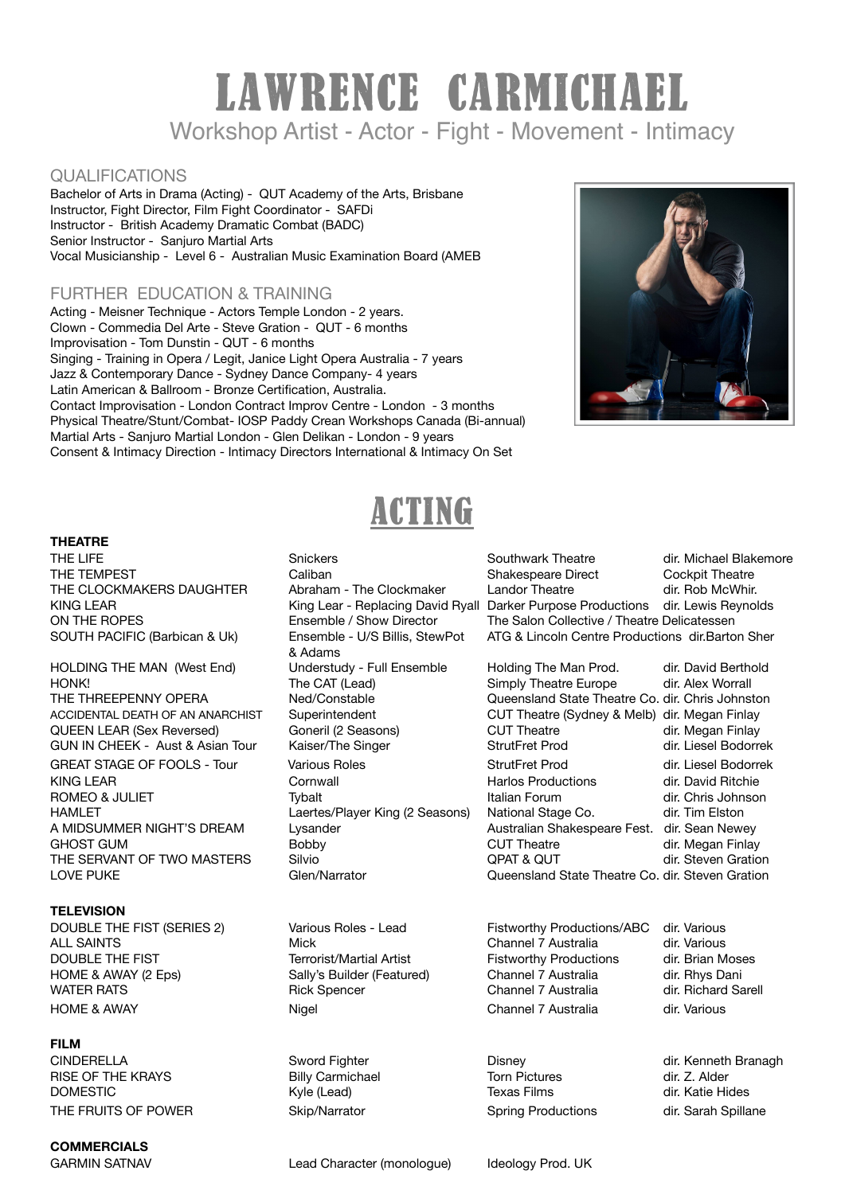# LAWRENCE CARMICHAEL Workshop Artist - Actor - Fight - Movement - Intimacy

### QUALIFICATIONS

Bachelor of Arts in Drama (Acting) - QUT Academy of the Arts, Brisbane Instructor, Fight Director, Film Fight Coordinator - SAFDi Instructor - British Academy Dramatic Combat (BADC) Senior Instructor - Sanjuro Martial Arts Vocal Musicianship - Level 6 - Australian Music Examination Board (AMEB

### FURTHER EDUCATION & TRAINING

Acting - Meisner Technique - Actors Temple London - 2 years. Clown - Commedia Del Arte - Steve Gration - QUT - 6 months Improvisation - Tom Dunstin - QUT - 6 months Singing - Training in Opera / Legit, Janice Light Opera Australia - 7 years Jazz & Contemporary Dance - Sydney Dance Company- 4 years Latin American & Ballroom - Bronze Certification, Australia. Contact Improvisation - London Contract Improv Centre - London - 3 months Physical Theatre/Stunt/Combat- IOSP Paddy Crean Workshops Canada (Bi-annual) Martial Arts - Sanjuro Martial London - Glen Delikan - London - 9 years Consent & Intimacy Direction - Intimacy Directors International & Intimacy On Set



## ACTING

#### **THEATRE**

GUN IN CHEEK - Aust & Asian Tour **Kaiser/The Singer** StrutFret Prod A MIDSUMMER NIGHT'S DREAM

### **TELEVISION**

ALL SAINTS **CONTENTS CONTENT CONTENT CONTENT CONTENT CONTENT** CHANNEL ALL SAINTS **dir.** Various DOUBLE THE FIST **THE FIST Terrorist/Martial Artist Reserves** Fistworthy Productions dir. Brian Moses HOME & AWAY (2 Eps) Sally's Builder (Featured) Channel 7 Australia dir. Rhys Dani WATER RATS **Subset Contains A Container Container Container Container Container Container Container Container Container Container Container Container Container Container Container Container Container Container Container Co** HOME & AWAY **XertaIn Community Community** Channel 7 Australia dir. Various

#### **FILM**

RISE OF THE KRAYS **Right Commichael** Torn Pictures and the Katie History Commic Commichael Commic Commic Commic C<br>
DOMESTIC Commic Commic Commic Commic Commic Commic Commic Commic Commic Commic Commic Commic Commic Commic DOMESTIC Kyle (Lead) Texas Films dir. Katie Hides THE FRUITS OF POWER Skip/Narrator Spring Productions dir. Sarah Spillane

**COMMERCIALS** 

 & Adams 

THE LIFE **Shickers Communist Contract Contract Contract Contract Contract Contract Area Contract Area Contract Area Contract Area Contract Area Contract Contract Contract Area Contract Contract Contract Contract Contract** THE TEMPEST Caliban Shakespeare Direct Cockpit Theatre THE CLOCKMAKERS DAUGHTER Abraham - The Clockmaker Landor Theatre and air. Rob McWhir. KING LEAR **WEAR CHAR CHARGE CONTROLLY CONTROLLY CONTROLLY AND KING LEAR** CHARGE CONTROLLY KING LEAR KING LEAR CHARGE ON THE ROPES **Subsection Conservation Conservation** Conservation Collective / Theatre Delicatessen SOUTH PACIFIC (Barbican & Uk) Ensemble - U/S Billis, StewPot ATG & Lincoln Centre Productions dir.Barton Sher

HOLDING THE MAN (West End) Understudy - Full Ensemble Holding The Man Prod. dir. David Berthold HONK! **In the CAT (Lead)** Containst Simply Theatre Europe dir. Alex Worrall THE THREEPENNY OPERA **Ned/Constable State Theatre Co. dir. Chris Johnston**<br>ACCIDENTAL DEATH OF AN ANARCHIST Superintendent **CUT** Theatre (Sydney & Melb) dir. Megan Finlay CUT Theatre (Sydney & Melb) dir. Megan Finlay QUEEN LEAR (Sex Reversed) Goneril (2 Seasons) CUT Theatre dir. Megan Finlay GREAT STAGE OF FOOLS - Tour Various Roles StrutFret Prod dir. Liesel Bodorrek KING LEAR Cornwall Harlos Productions dir. David Ritchie ROMEO & JULIET *Tybalt* **Tybalt In the United States** *Demonstration n n dir. Chris Johnson* HAMLET **CHAMLET** Laertes/Player King (2 Seasons) National Stage Co. dir. Tim Elston<br>A MIDSUMMER NIGHT'S DREAM Lysander Australian Shakespeare Fest. dir. Sean Newey GHOST GUM **Bobby** Bobby CUT Theatre **and Structure CUT** CUT Theatre *dir. Megan Finlay* THE SERVANT OF TWO MASTERS Silvio Silvio and Supering PAT & QUT and dir. Steven Gration of Clen/Narrator Co. dir. Steven Gration Cover Conduction Clen/Narrator Co. dir. Steven Gration Cover Cover Cover Cover Cover Cover Co Queensland State Theatre Co. dir. Steven Gration

DOUBLE THE FIST (SERIES 2) Various Roles - Lead Fistworthy Productions/ABC dir. Various

CINDERELLA Sword Fighter Disney dir. Kenneth Branagh

GARMIN SATNAV Lead Character (monologue) Ideology Prod. UK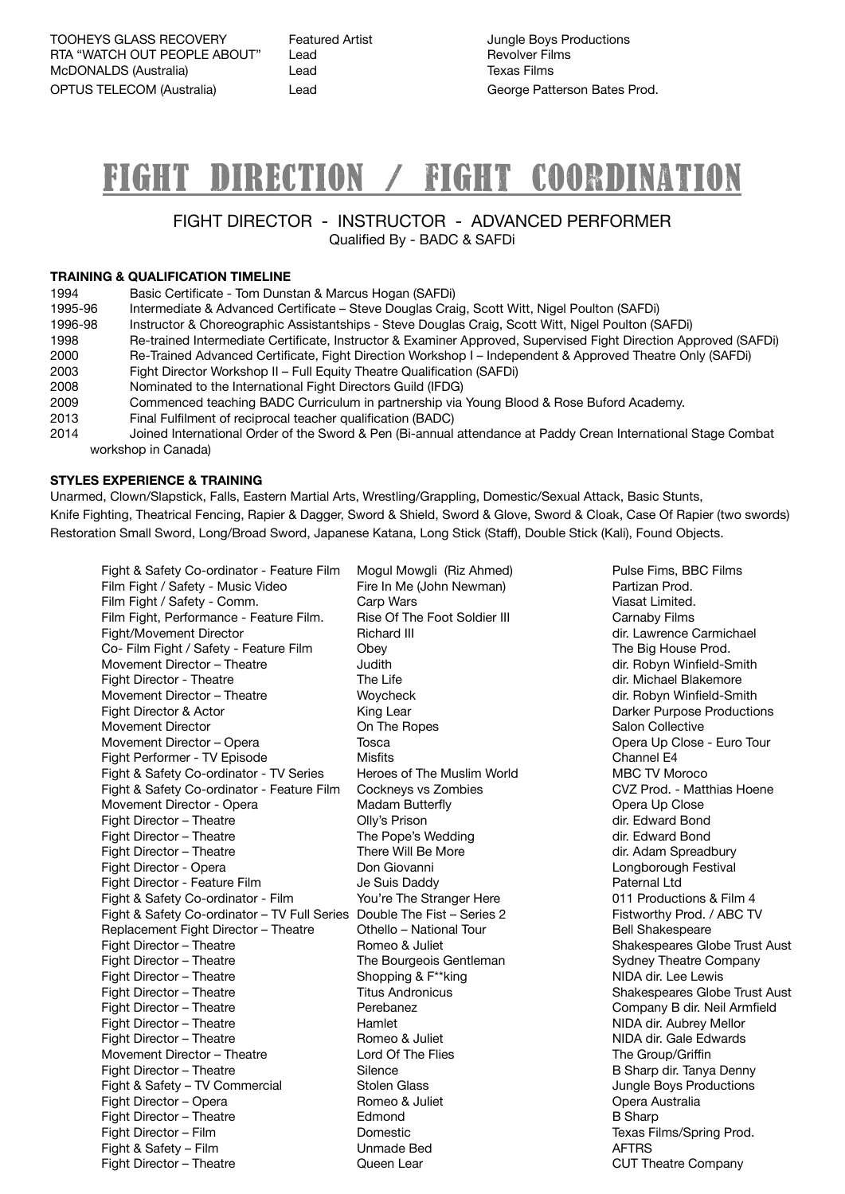TOOHEYS GLASS RECOVERY Featured Artist **Maturist State State State Conductions** RTA "WATCH OUT PEOPLE ABOUT" Lead **BEING ADDEN THE REVOLUT REVOLUT** McDONALDS (Australia)  $\qquad \qquad$  Lead  $\qquad \qquad$  Texas Films OPTUS TELECOM (Australia)  $\qquad \qquad$  Lead  $\qquad \qquad$  George Patterson Bates Prod.

# FIGHT DIRECTION / fight coordination

#### FIGHT DIRECTOR - INSTRUCTOR - ADVANCED PERFORMER Qualified By - BADC & SAFDi

#### **TRAINING & QUALIFICATION TIMELINE**

| 1994    | Basic Certificate - Tom Dunstan & Marcus Hogan (SAFDi)                                                           |  |  |
|---------|------------------------------------------------------------------------------------------------------------------|--|--|
| 1995-96 | Intermediate & Advanced Certificate – Steve Douglas Craig, Scott Witt, Nigel Poulton (SAFDi)                     |  |  |
| 1996-98 | Instructor & Choreographic Assistantships - Steve Douglas Craig, Scott Witt, Nigel Poulton (SAFDi)               |  |  |
| 1998    | Re-trained Intermediate Certificate, Instructor & Examiner Approved, Supervised Fight Direction Approved (SAFDi) |  |  |
| 2000    | Re-Trained Advanced Certificate, Fight Direction Workshop I - Independent & Approved Theatre Only (SAFDi)        |  |  |
| 2003    | Fight Director Workshop II – Full Equity Theatre Qualification (SAFDi)                                           |  |  |
| 2008    | Nominated to the International Fight Directors Guild (IFDG)                                                      |  |  |
| 2009    | Commenced teaching BADC Curriculum in partnership via Young Blood & Rose Buford Academy.                         |  |  |
| 2013    | Final Fulfilment of reciprocal teacher qualification (BADC)                                                      |  |  |
| 2014    | Joined International Order of the Sword & Pen (Bi-annual attendance at Paddy Crean International Stage Combat    |  |  |
|         | workshop in Canada)                                                                                              |  |  |

#### **STYLES EXPERIENCE & TRAINING**

Unarmed, Clown/Slapstick, Falls, Eastern Martial Arts, Wrestling/Grappling, Domestic/Sexual Attack, Basic Stunts, Knife Fighting, Theatrical Fencing, Rapier & Dagger, Sword & Shield, Sword & Glove, Sword & Cloak, Case Of Rapier (two swords) Restoration Small Sword, Long/Broad Sword, Japanese Katana, Long Stick (Staff), Double Stick (Kali), Found Objects.

Film Fight / Safety - Music Video **The In Me (John Newman) The Cartizan Prod.**<br>
Film Fight / Safety - Comm. **Caro Wars** Carp Wars (Viasat Limited. Film Fight / Safety - Comm. Carp Wars **Carp Wars Manual Communist Communist Carp Wars** Missan Manual Medicine Communist Carp Wars Missan Manual Medicine Communist Carp Wars Missan Manual Medicine Communist Carp Manual Medi Film Fight, Performance - Feature Film. Bise Of The Foot Soldier III **Carnaby Films** Fight/Movement Director **Communist Communist Communist Communist Communist Communist Communist Communist Communist Communist Communist Communist Communist Communist Communist Communist Communist Communist Communist Communi** Co- Film Fight / Safety - Feature Film Obey **Drames Communist Constructs** The Big House Prod. Movement Director – Theatre *Dudith Dudith Alument Director – Theatre <b> <i> dudith dir. Robyn Winfield-Smith* Fight Director - Theatre **The Communist Communist Communist Communist Communist Communist Communist Communist Communist Communist Communist Communist Communist Communist Communist Communist Communist Communist Communist Co** Movement Director – Theatre **Movement Director – Theatre Woycheck** Movement Director **- Theatre Movement** Woycheck Fight Director & Actor **Contract Contract Contract Contract Contract Contract Contract Contract Contract Contract Contract Contract Contract Contract Contract Contract Contract Contract Contract Contract Contract Contract** Movement Director **Disk Collective** On The Ropes<br>
Movement Director – Opera *Disk Collective*<br>
Tosca *Collective* **Collective Collective Collective Collective Collective Collective Opera Up Close** Movement Director – Opera Tosca Tosca Qpera Up Close - Euro Tour Fight Performer - TV Episode **Misfits Misfits Channel E4** Fight & Safety Co-ordinator - TV Series Heroes of The Muslim World MBC TV Moroco Fight & Safety Co-ordinator - Feature Film Cockneys vs Zombies **CVZ** Prod. - Matthias Hoene Movement Director - Opera **Madam Butterfly** Movement Director - Opera Up Close Fight Director – Theatre *Colly's Prison* **Colly's Prison** *Colly's Prison Colly's Prison Colly's Prison Colly's Prison Colly Colly Colly Colly Colly Colly Colly Colly Col* Fight Director – Theatre **Matter Communist Communist Communist Communist Communist Communist Communist Communist Communist Communist Communist Communist Communist Communist Communist Communist Communist Communist Communist** Fight Director – Theatre **Matter Communist Communist Communist Communist Communist Communist Communist Communist Communist Communist Communist Communist Communist Communist Communist Communist Communist Communist Communist** Fight Director - Opera **Branch Connection** Don Giovanni **and Connection Connection** Congborough Festival Fight Director - Feature Film **Solution Communist Communist Communist Communist Communist Communist Communist Communist Communist Communist Communist Communist Communist Communist Communist Communist Communist Communist Co** Fight & Safety Co-ordinator - Film You're The Stranger Here **81 Communisher Constant Constant Act Act** Co-ordinator - Film 4 Fight & Safety Co-ordinator – TV Full Series Double The Fist – Series 2 Fistworthy Prod. / ABC TV Replacement Fight Director – Theatre **Othello – National Tour Bell Shakespeare** Fight Director – Theatre **Theatre Mateur Common Act Aust** Romeo & Juliet *Common Shakespeares Globe Trust Aust* Fight Director – Theatre **The Sourgeois Gentleman** Sydney Theatre Company<br>
Fight Director – Theatre *Shopping & F<sup>\*\*</sup>king* MIDA dir. Lee Lewis Fight Director – Theatre *Shopping & F\*\*king*<br>
Fight Director – Theatre *nime and Titus Andronicus* Fight Director – Theatre **Theatre Mateur Company B** dir. Neil Armfield Company B dir. Neil Armfield Fight Director – Theatre **Theatre Mellor** Mellor **Mellor** *NIDA dir. Aubrey Mellor NIDA dir. Aubrey Mellor* Fight Director – Theatre **Theatre Mateur Common Bomeo & Juliet** Mateur MIDA dir. Gale Edwards Movement Director – Theatre **Lord Of The Flies The Group/Griffin** Fight Director – Theatre **Theatre Mateur Communist Communist Communist Communist Communist Communist Communist Communist Communist Communist Communist Communist Communist Communist Communist Communist Communist Communist C** Fight & Safety – TV Commercial **Stolen Glass Commercial Commercial Commercial** Stolen Glass *Dungle Boys Productions* Fight Director – Opera **Mateuralia Romeo & Juliet Communist Communist Communist Communist Communist Communist Communist Communist Communist Communist Communist Communist Communist Communist Communist Communist Communis** Fight Director – Theatre **B** Sharp **Communist Edmond B** Sharp **B** Sharp **B** Sharp Fight Director – Film **Domestic Domestic Comestic Comestic Comestic Comestic Texas Films/Spring Prod.** Fight & Safety – Film **Community Community Community Community** Unmade Bed **AFTRS** Fight Director – Theatre **Theatre CUT Theatre Company Queen Lear CUT Theatre Company** 

Fight & Safety Co-ordinator - Feature Film Mogul Mowgli (Riz Ahmed) Pulse Fims, BBC Films Titus Andronicus<br>
Shakespeares Globe Trust Aust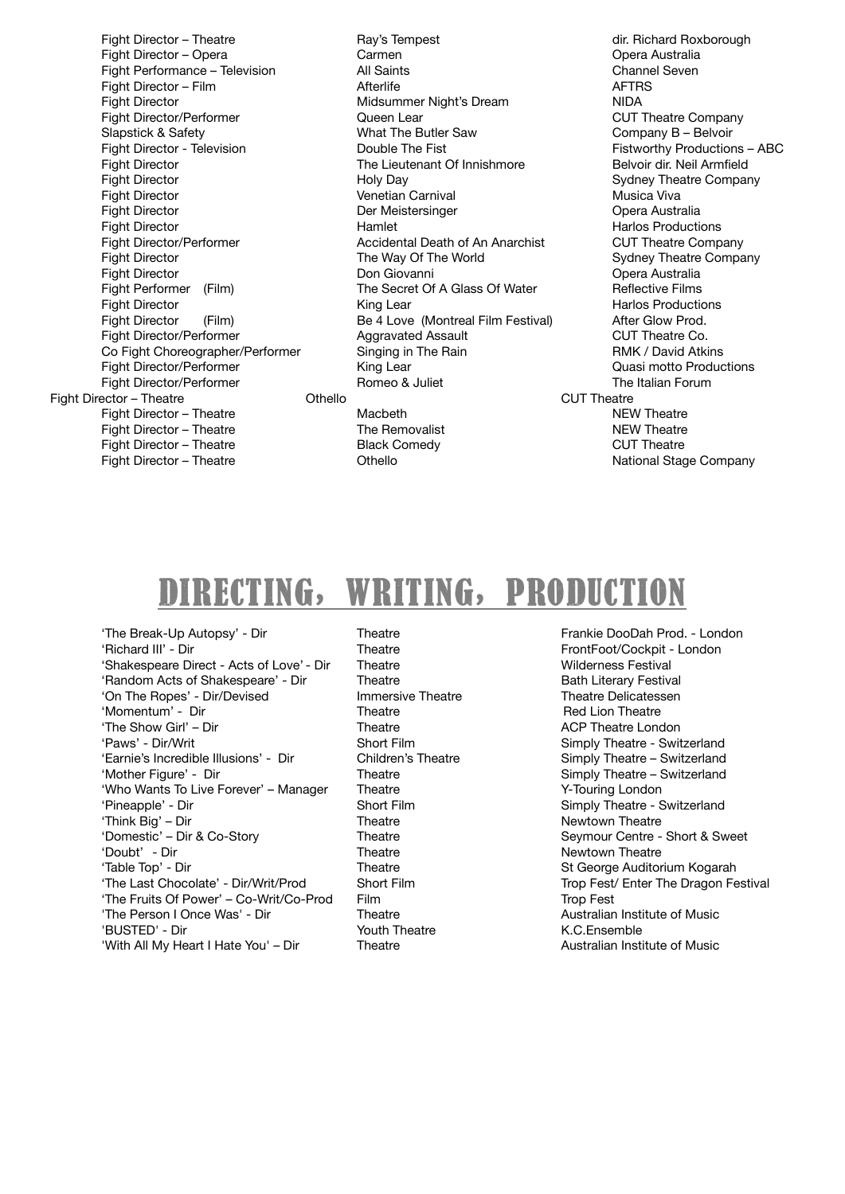Fight Director – Opera **State Carmen Carmen Carmen Carmen Carmen Carmen Carmen Carmen Carmen Carmen Carmen Carmen Carmen Carmen Carmen Carmen Carmen Carmen Carmen Carmen Carmen C** Fight Performance – Television All Saints Channel Seven Fight Director  $-$  Film Fight Director **Contains the Container Midsummer Night's Dream Container Night** MIDA Fight Director/Performer Queen Lear CUT Theatre Company Fight Director - Television **Bridge Couple The Fist Couple The Fist Research Couple The Fistworthy Productions – ABC** Fight Director **The Lieutenant Of Innishmore** Belvoir dir. Neil Armfield<br>
Fight Director **Belvoir and Holy Dav** Holy Dav Fight Director **The Contract Contract Contract Contract Venetian Carnival Musica Viva** Musica Viva Fight Director **South Australia Contract Contract Der Meistersinger Contract Contract Contract Opera Australia** Fight Director **Solutions Contract Contract Contract Contract Contract Contract Contract Contract Contract Contract Contract Contract Contract Contract Contract Contract Contract Contract Contract Contract Contract Contr** Fight Director/Performer **and The Cult Accidental Death of An Anarchist CUT Theatre Company** Fight Director **The Way Of The World Company** Sydney Theatre Company Fight Director **South Australia Connection Connection Connection** Don Giovanni **Connection Connection Connection** Opera Australia Fight Performer (Film) The Secret Of A Glass Of Water **Reflective Films** Fight Director **The Contract Contract Contract Contract Contract Contract Contract Contract Contract Contract Contract Productions**<br> **Be 4 Love (Montreal Film Festival)** After Glow Prod. Fight Director (Film) Be 4 Love (Montreal Film Festival) Fight Director/Performer **and COT Theatre Co.** Aggravated Assault **COT Theatre Co.** Co Fight Choreographer/Performer Singing in The Rain **RAMK** / David Atkins Fight Director/Performer The Control Control King Lear **Control Control Control Cuasi motto Productions** Fight Director/Performer **Britain Comeo & Solution Comes Comes Comes Comes Comes Comes Comes Comes Comes Comes Comes Comes Comes Comes Comes Comes Comes Comes Comes Comes Comes Comes Comes Comes Comes Comes Comes Comes Com** Fight Director – Theatre **Theatre CUT Theatre** *CUT Theatre CUT Theatre* Fight Director – Theatre **Macbeth** Macbeth **Macbeth NEW Theatre** Fight Director – Theatre **The Removalist Constant Constant Constant Constant Constant Constant Constant Constant Constant Constant Constant Constant Constant Constant Constant Constant Constant Constant Constant Constant** Fight Director – Theatre **Black Comedy CUT Theatre CUT** Theatre **CUT** Fight Director – Theatre **Theatre** *Chiello* **Chield** *Chiello Chiello Chiello National Stage Company* 

Fight Director – Theatre **May's Tempest Communist Communist Communist Communist Communist Communist Communist Communist Communist Communist Communist Communist Communist Communist Communist Communist Communist Communist** Holy Day **Bridge Company** Sydney Theatre Company

Company B – Belvoir

### DIRECTING, WRITING, PRODUCTION

'The Break-Up Autopsy' - Dir Theatre Frankie DooDah Prod. - London 'Richard III' - Dir Theatre Theatre FrontFoot/Cockpit - London 'Shakespeare Direct - Acts of Love' - Dir Theatre **Wilderness Festival** 'Random Acts of Shakespeare' - Dir **Theatre Bath Literary Festival Bath Literary Festival** 'On The Ropes' - Dir/Devised **Immersive Theatre Theatre Delicatessen** 'Momentum' - Dir Theatre Theatre Red Lion Theatre Red Lion Theatre Red Lion Theatre Long 'Paws' - Dir/Writ Short Film Simply Theatre - Switzerland 'Earnie's Incredible Illusions' - Dir Children's Theatre Simply Theatre – Switzerland<br>
'Mother Figure' - Dir Theatre Theatre Switzerland 'Who Wants To Live Forever' - Manager Theatre **Theatre Theatre Manual Condon** 'Pineapple' - Dir **Short Film** Short Film **Strate** - Simply Theatre - Switzerland 'Think Big' – Dir Theatre Newtown Theatre 'Domestic' – Dir & Co-Story **Theatre Constant Centre - Short & Sweet Constant Centre - Short & Sweet** 'Doubt' - Dir Theatre Newtown Theatre 'Table Top' - Dir Theatre St George Auditorium Kogarah 'The Last Chocolate' - Dir/Writ/Prod Short Film Short Time Trop Fest/ Enter The Dragon Festival 'The Fruits Of Power' – Co-Writ/Co-Prod Film<br>
'The Person I Once Was' - Dir Theatre Theatre Australian Institute of Music 'The Person I Once Was' - Dir **Theatre** 'BUSTED' - Dir Youth Theatre K.C.Ensemble

Theatre **Example 20** Theatre London Simply Theatre - Switzerland 'With All My Heart I Hate You' – Dir Theatre **Theatre Australian Institute of Music**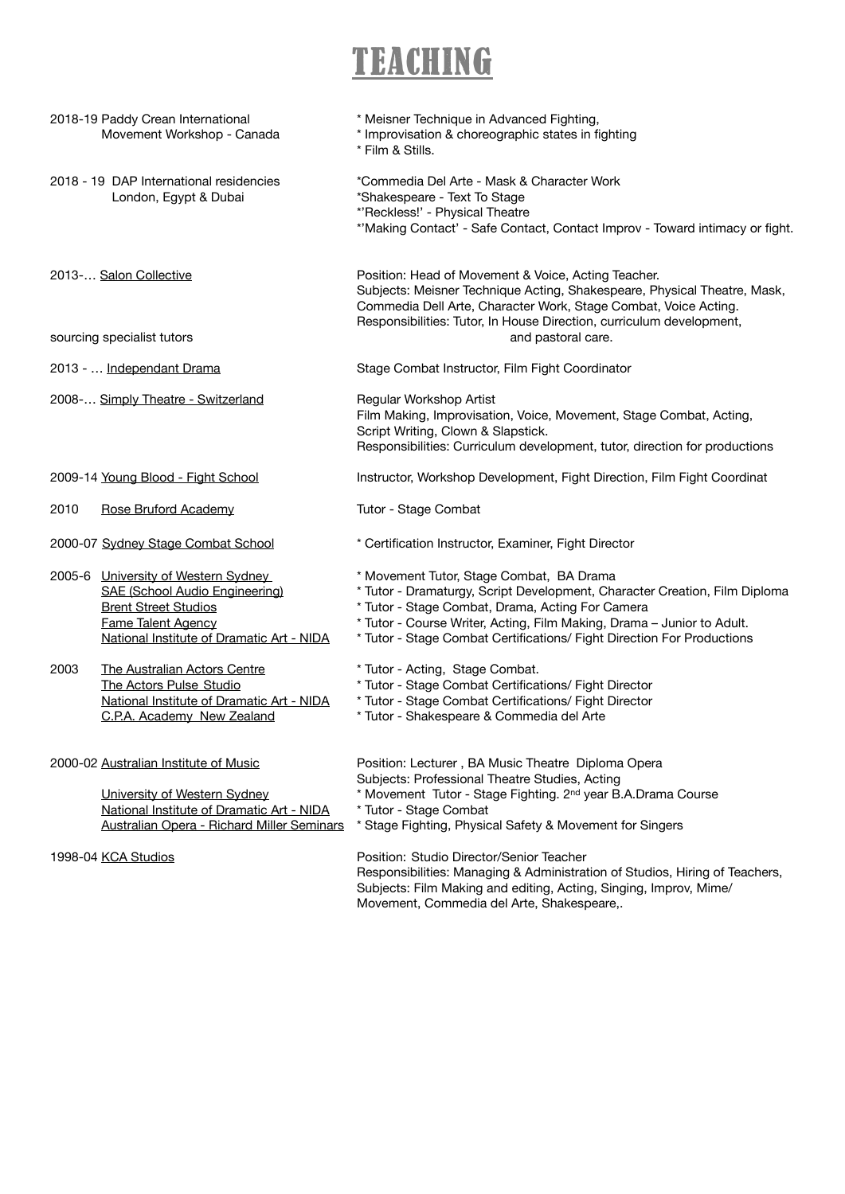## TEACHING

|                                    | 2018-19 Paddy Crean International<br>Movement Workshop - Canada                                                                                                                | * Meisner Technique in Advanced Fighting,<br>* Improvisation & choreographic states in fighting<br>* Film & Stills.                                                                                                                                                                                                            |
|------------------------------------|--------------------------------------------------------------------------------------------------------------------------------------------------------------------------------|--------------------------------------------------------------------------------------------------------------------------------------------------------------------------------------------------------------------------------------------------------------------------------------------------------------------------------|
|                                    | 2018 - 19 DAP International residencies<br>London, Egypt & Dubai                                                                                                               | *Commedia Del Arte - Mask & Character Work<br>*Shakespeare - Text To Stage<br>*'Reckless!' - Physical Theatre<br>*'Making Contact' - Safe Contact, Contact Improv - Toward intimacy or fight.                                                                                                                                  |
|                                    | 2013- Salon Collective                                                                                                                                                         | Position: Head of Movement & Voice, Acting Teacher.<br>Subjects: Meisner Technique Acting, Shakespeare, Physical Theatre, Mask,<br>Commedia Dell Arte, Character Work, Stage Combat, Voice Acting.<br>Responsibilities: Tutor, In House Direction, curriculum development,                                                     |
| sourcing specialist tutors         |                                                                                                                                                                                | and pastoral care.                                                                                                                                                                                                                                                                                                             |
|                                    | 2013 -  Independant Drama                                                                                                                                                      | Stage Combat Instructor, Film Fight Coordinator                                                                                                                                                                                                                                                                                |
|                                    | 2008- Simply Theatre - Switzerland                                                                                                                                             | Regular Workshop Artist<br>Film Making, Improvisation, Voice, Movement, Stage Combat, Acting,<br>Script Writing, Clown & Slapstick.<br>Responsibilities: Curriculum development, tutor, direction for productions                                                                                                              |
|                                    | 2009-14 Young Blood - Fight School                                                                                                                                             | Instructor, Workshop Development, Fight Direction, Film Fight Coordinat                                                                                                                                                                                                                                                        |
| 2010                               | Rose Bruford Academy                                                                                                                                                           | Tutor - Stage Combat                                                                                                                                                                                                                                                                                                           |
| 2000-07 Sydney Stage Combat School |                                                                                                                                                                                | * Certification Instructor, Examiner, Fight Director                                                                                                                                                                                                                                                                           |
|                                    | 2005-6 University of Western Sydney<br>SAE (School Audio Engineering)<br><b>Brent Street Studios</b><br><b>Fame Talent Agency</b><br>National Institute of Dramatic Art - NIDA | * Movement Tutor, Stage Combat, BA Drama<br>* Tutor - Dramaturgy, Script Development, Character Creation, Film Diploma<br>* Tutor - Stage Combat, Drama, Acting For Camera<br>* Tutor - Course Writer, Acting, Film Making, Drama - Junior to Adult.<br>* Tutor - Stage Combat Certifications/ Fight Direction For Productions |
| 2003                               | The Australian Actors Centre<br>The Actors Pulse Studio<br>National Institute of Dramatic Art - NIDA<br>C.P.A. Academy New Zealand                                             | * Tutor - Acting, Stage Combat.<br>* Tutor - Stage Combat Certifications/ Fight Director<br>* Tutor - Stage Combat Certifications/ Fight Director<br>* Tutor - Shakespeare & Commedia del Arte                                                                                                                                 |
|                                    | 2000-02 Australian Institute of Music<br>University of Western Sydney<br>National Institute of Dramatic Art - NIDA<br>Australian Opera - Richard Miller Seminars               | Position: Lecturer, BA Music Theatre Diploma Opera<br>Subjects: Professional Theatre Studies, Acting<br>* Movement Tutor - Stage Fighting. 2 <sup>nd</sup> year B.A.Drama Course<br>* Tutor - Stage Combat<br>* Stage Fighting, Physical Safety & Movement for Singers                                                         |
| 1998-04 KCA Studios                |                                                                                                                                                                                | Position: Studio Director/Senior Teacher<br>Responsibilities: Managing & Administration of Studios, Hiring of Teachers,<br>Subjects: Film Making and editing, Acting, Singing, Improv, Mime/                                                                                                                                   |

Movement, Commedia del Arte, Shakespeare,.